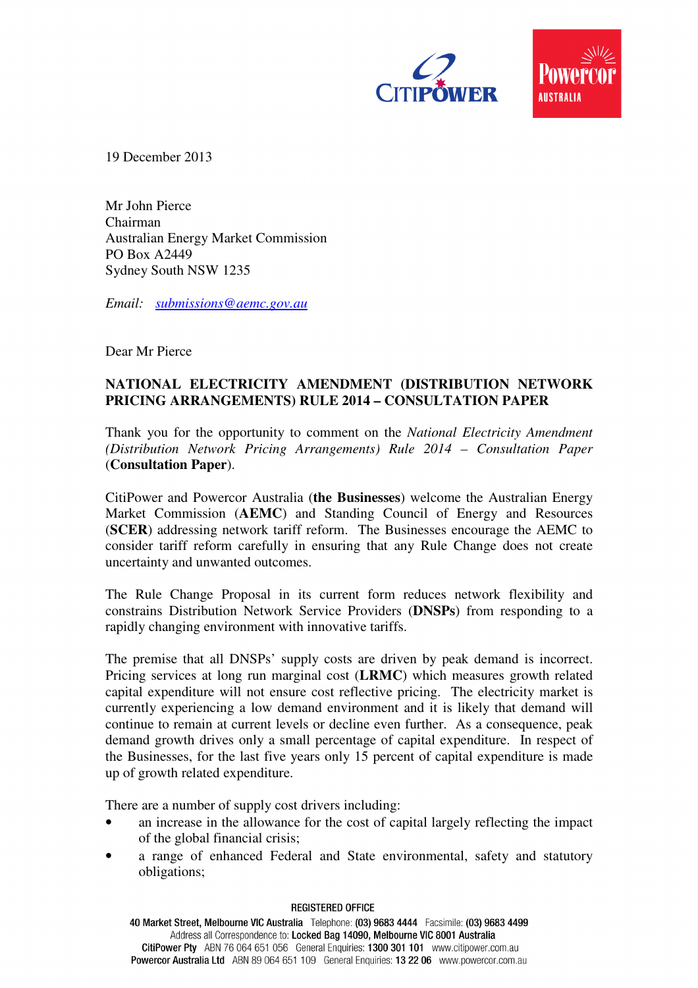



19 December 2013

Mr John Pierce Chairman Australian Energy Market Commission PO Box A2449 Sydney South NSW 1235

*Email: submissions@aemc.gov.au*

Dear Mr Pierce

# **NATIONAL ELECTRICITY AMENDMENT (DISTRIBUTION NETWORK PRICING ARRANGEMENTS) RULE 2014 – CONSULTATION PAPER**

Thank you for the opportunity to comment on the *National Electricity Amendment (Distribution Network Pricing Arrangements) Rule 2014 – Consultation Paper* (**Consultation Paper**).

CitiPower and Powercor Australia (**the Businesses**) welcome the Australian Energy Market Commission (**AEMC**) and Standing Council of Energy and Resources (**SCER**) addressing network tariff reform. The Businesses encourage the AEMC to consider tariff reform carefully in ensuring that any Rule Change does not create uncertainty and unwanted outcomes.

The Rule Change Proposal in its current form reduces network flexibility and constrains Distribution Network Service Providers (**DNSPs**) from responding to a rapidly changing environment with innovative tariffs.

The premise that all DNSPs' supply costs are driven by peak demand is incorrect. Pricing services at long run marginal cost (**LRMC**) which measures growth related capital expenditure will not ensure cost reflective pricing. The electricity market is currently experiencing a low demand environment and it is likely that demand will continue to remain at current levels or decline even further. As a consequence, peak demand growth drives only a small percentage of capital expenditure. In respect of the Businesses, for the last five years only 15 percent of capital expenditure is made up of growth related expenditure.

There are a number of supply cost drivers including:

- an increase in the allowance for the cost of capital largely reflecting the impact of the global financial crisis;
- a range of enhanced Federal and State environmental, safety and statutory obligations;

#### **REGISTERED OFFICE**

40 Market Street, Melbourne VIC Australia Telephone: (03) 9683 4444 Facsimile: (03) 9683 4499 Address all Correspondence to: Locked Bag 14090, Melbourne VIC 8001 Australia CitiPower Pty ABN 76 064 651 056 General Enquiries: 1300 301 101 www.citipower.com.au Powercor Australia Ltd ABN 89 064 651 109 General Enquiries: 13 22 06 www.powercor.com.au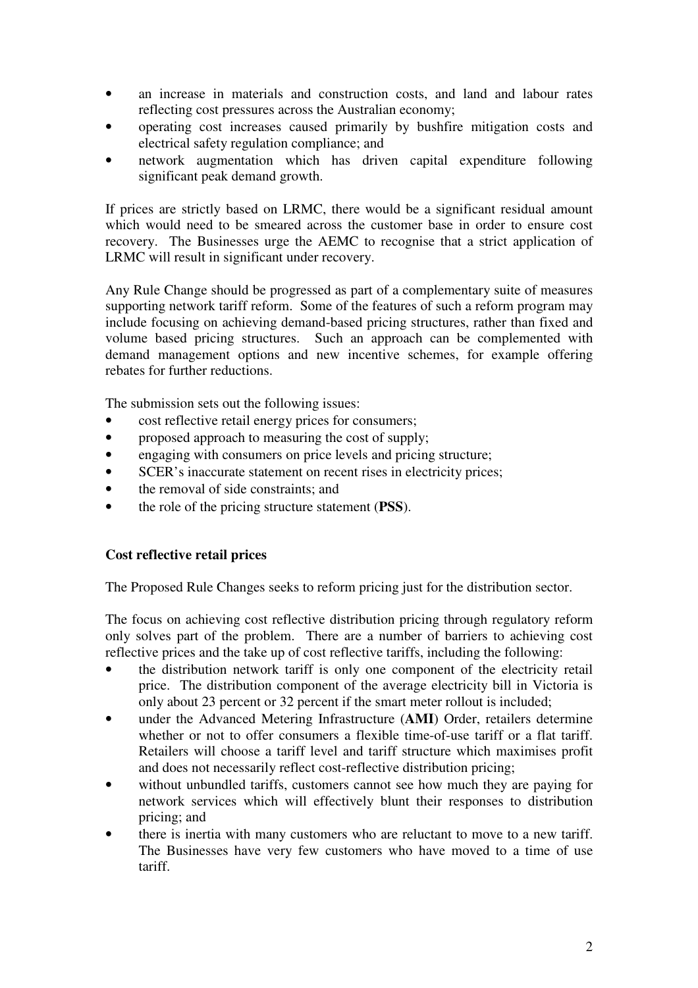- an increase in materials and construction costs, and land and labour rates reflecting cost pressures across the Australian economy;
- operating cost increases caused primarily by bushfire mitigation costs and electrical safety regulation compliance; and
- network augmentation which has driven capital expenditure following significant peak demand growth.

If prices are strictly based on LRMC, there would be a significant residual amount which would need to be smeared across the customer base in order to ensure cost recovery. The Businesses urge the AEMC to recognise that a strict application of LRMC will result in significant under recovery.

Any Rule Change should be progressed as part of a complementary suite of measures supporting network tariff reform. Some of the features of such a reform program may include focusing on achieving demand-based pricing structures, rather than fixed and volume based pricing structures. Such an approach can be complemented with demand management options and new incentive schemes, for example offering rebates for further reductions.

The submission sets out the following issues:

- cost reflective retail energy prices for consumers;
- proposed approach to measuring the cost of supply;
- engaging with consumers on price levels and pricing structure;
- SCER's inaccurate statement on recent rises in electricity prices;
- the removal of side constraints; and
- the role of the pricing structure statement (**PSS**).

## **Cost reflective retail prices**

The Proposed Rule Changes seeks to reform pricing just for the distribution sector.

The focus on achieving cost reflective distribution pricing through regulatory reform only solves part of the problem. There are a number of barriers to achieving cost reflective prices and the take up of cost reflective tariffs, including the following:

- the distribution network tariff is only one component of the electricity retail price. The distribution component of the average electricity bill in Victoria is only about 23 percent or 32 percent if the smart meter rollout is included;
- under the Advanced Metering Infrastructure (**AMI**) Order, retailers determine whether or not to offer consumers a flexible time-of-use tariff or a flat tariff. Retailers will choose a tariff level and tariff structure which maximises profit and does not necessarily reflect cost-reflective distribution pricing;
- without unbundled tariffs, customers cannot see how much they are paying for network services which will effectively blunt their responses to distribution pricing; and
- there is inertia with many customers who are reluctant to move to a new tariff. The Businesses have very few customers who have moved to a time of use tariff.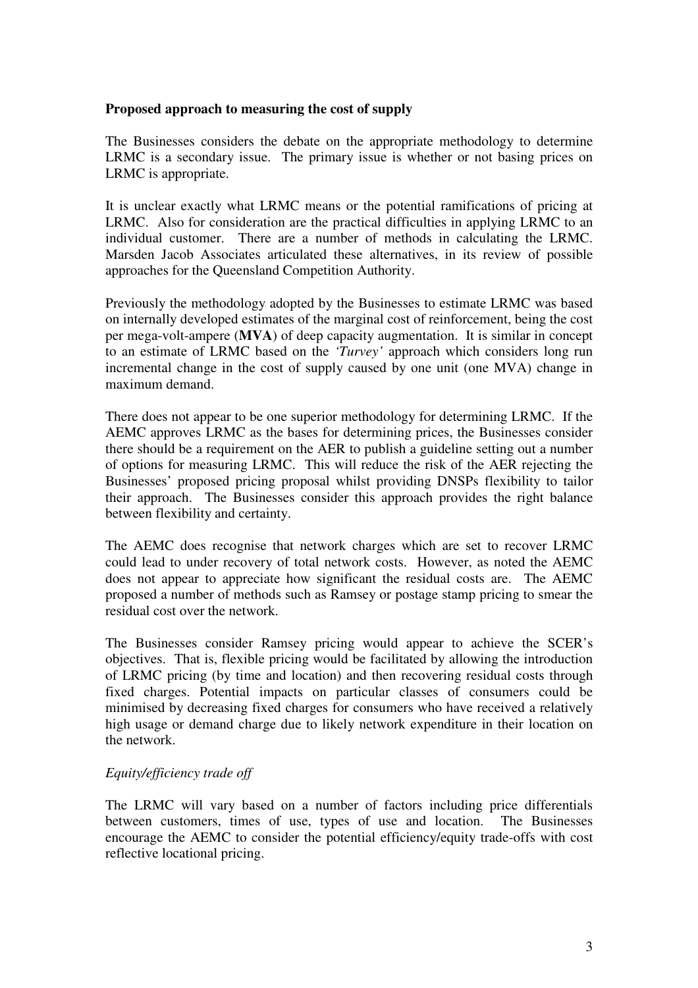## **Proposed approach to measuring the cost of supply**

The Businesses considers the debate on the appropriate methodology to determine LRMC is a secondary issue. The primary issue is whether or not basing prices on LRMC is appropriate.

It is unclear exactly what LRMC means or the potential ramifications of pricing at LRMC. Also for consideration are the practical difficulties in applying LRMC to an individual customer. There are a number of methods in calculating the LRMC. Marsden Jacob Associates articulated these alternatives, in its review of possible approaches for the Queensland Competition Authority.

Previously the methodology adopted by the Businesses to estimate LRMC was based on internally developed estimates of the marginal cost of reinforcement, being the cost per mega-volt-ampere (**MVA**) of deep capacity augmentation. It is similar in concept to an estimate of LRMC based on the *'Turvey'* approach which considers long run incremental change in the cost of supply caused by one unit (one MVA) change in maximum demand.

There does not appear to be one superior methodology for determining LRMC. If the AEMC approves LRMC as the bases for determining prices, the Businesses consider there should be a requirement on the AER to publish a guideline setting out a number of options for measuring LRMC. This will reduce the risk of the AER rejecting the Businesses' proposed pricing proposal whilst providing DNSPs flexibility to tailor their approach. The Businesses consider this approach provides the right balance between flexibility and certainty.

The AEMC does recognise that network charges which are set to recover LRMC could lead to under recovery of total network costs. However, as noted the AEMC does not appear to appreciate how significant the residual costs are. The AEMC proposed a number of methods such as Ramsey or postage stamp pricing to smear the residual cost over the network.

The Businesses consider Ramsey pricing would appear to achieve the SCER's objectives. That is, flexible pricing would be facilitated by allowing the introduction of LRMC pricing (by time and location) and then recovering residual costs through fixed charges. Potential impacts on particular classes of consumers could be minimised by decreasing fixed charges for consumers who have received a relatively high usage or demand charge due to likely network expenditure in their location on the network.

## *Equity/efficiency trade off*

The LRMC will vary based on a number of factors including price differentials between customers, times of use, types of use and location. The Businesses encourage the AEMC to consider the potential efficiency/equity trade-offs with cost reflective locational pricing.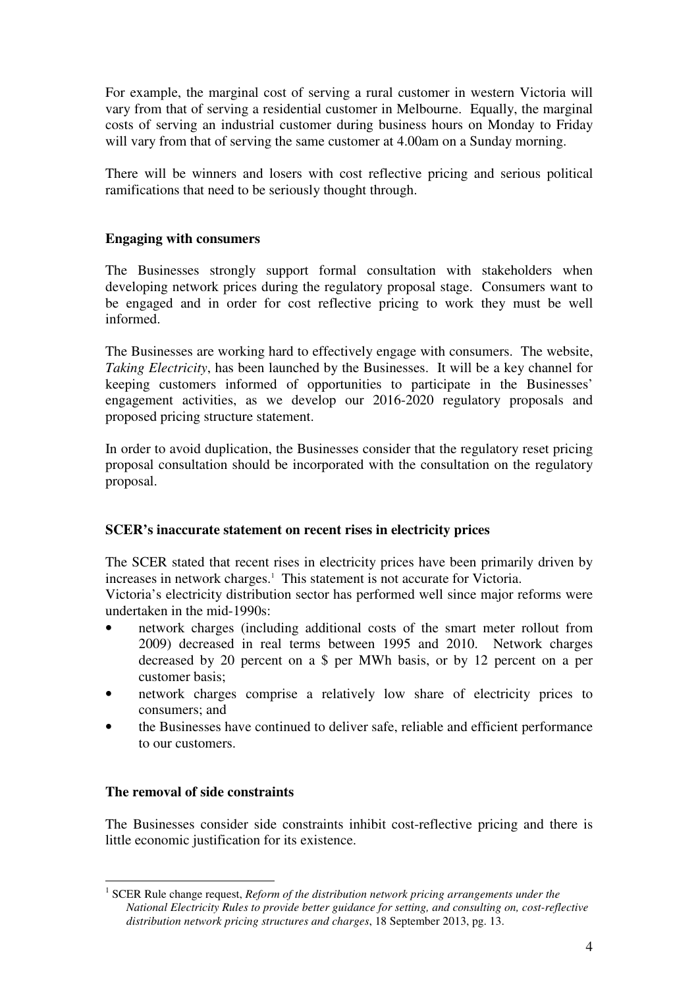For example, the marginal cost of serving a rural customer in western Victoria will vary from that of serving a residential customer in Melbourne. Equally, the marginal costs of serving an industrial customer during business hours on Monday to Friday will vary from that of serving the same customer at 4.00am on a Sunday morning.

There will be winners and losers with cost reflective pricing and serious political ramifications that need to be seriously thought through.

# **Engaging with consumers**

The Businesses strongly support formal consultation with stakeholders when developing network prices during the regulatory proposal stage. Consumers want to be engaged and in order for cost reflective pricing to work they must be well informed.

The Businesses are working hard to effectively engage with consumers. The website, *Taking Electricity*, has been launched by the Businesses. It will be a key channel for keeping customers informed of opportunities to participate in the Businesses' engagement activities, as we develop our 2016-2020 regulatory proposals and proposed pricing structure statement.

In order to avoid duplication, the Businesses consider that the regulatory reset pricing proposal consultation should be incorporated with the consultation on the regulatory proposal.

## **SCER's inaccurate statement on recent rises in electricity prices**

The SCER stated that recent rises in electricity prices have been primarily driven by increases in network charges.<sup>1</sup> This statement is not accurate for Victoria.

Victoria's electricity distribution sector has performed well since major reforms were undertaken in the mid-1990s:

- network charges (including additional costs of the smart meter rollout from 2009) decreased in real terms between 1995 and 2010. Network charges decreased by 20 percent on a \$ per MWh basis, or by 12 percent on a per customer basis;
- network charges comprise a relatively low share of electricity prices to consumers; and
- the Businesses have continued to deliver safe, reliable and efficient performance to our customers.

## **The removal of side constraints**

The Businesses consider side constraints inhibit cost-reflective pricing and there is little economic justification for its existence.

 $\overline{a}$ <sup>1</sup> SCER Rule change request, *Reform of the distribution network pricing arrangements under the National Electricity Rules to provide better guidance for setting, and consulting on, cost-reflective distribution network pricing structures and charges*, 18 September 2013, pg. 13.